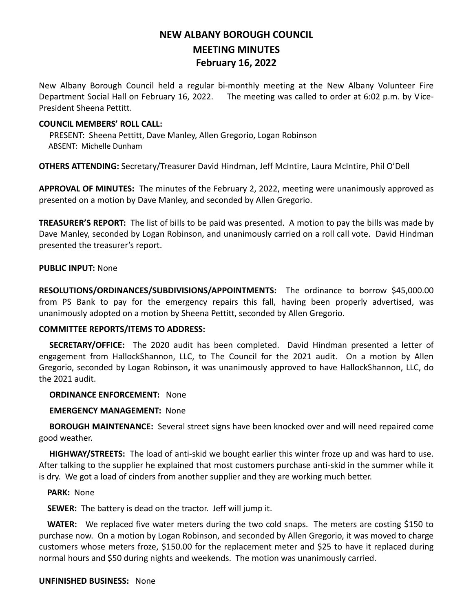# **NEW ALBANY BOROUGH COUNCIL MEETING MINUTES February 16, 2022**

New Albany Borough Council held a regular bi-monthly meeting at the New Albany Volunteer Fire Department Social Hall on February 16, 2022. The meeting was called to order at 6:02 p.m. by Vice-President Sheena Pettitt.

## **COUNCIL MEMBERS' ROLL CALL:**

PRESENT: Sheena Pettitt, Dave Manley, Allen Gregorio, Logan Robinson ABSENT: Michelle Dunham

**OTHERS ATTENDING:** Secretary/Treasurer David Hindman, Jeff McIntire, Laura McIntire, Phil O'Dell

**APPROVAL OF MINUTES:** The minutes of the February 2, 2022, meeting were unanimously approved as presented on a motion by Dave Manley, and seconded by Allen Gregorio.

**TREASURER'S REPORT:** The list of bills to be paid was presented. A motion to pay the bills was made by Dave Manley, seconded by Logan Robinson, and unanimously carried on a roll call vote. David Hindman presented the treasurer's report.

## **PUBLIC INPUT:** None

**RESOLUTIONS/ORDINANCES/SUBDIVISIONS/APPOINTMENTS:** The ordinance to borrow \$45,000.00 from PS Bank to pay for the emergency repairs this fall, having been properly advertised, was unanimously adopted on a motion by Sheena Pettitt, seconded by Allen Gregorio.

## **COMMITTEE REPORTS/ITEMS TO ADDRESS:**

 **SECRETARY/OFFICE:** The 2020 audit has been completed. David Hindman presented a letter of engagement from HallockShannon, LLC, to The Council for the 2021 audit. On a motion by Allen Gregorio, seconded by Logan Robinson**,** it was unanimously approved to have HallockShannon, LLC, do the 2021 audit.

### **ORDINANCE ENFORCEMENT:** None

### **EMERGENCY MANAGEMENT:** None

 **BOROUGH MAINTENANCE:** Several street signs have been knocked over and will need repaired come good weather.

 **HIGHWAY/STREETS:** The load of anti-skid we bought earlier this winter froze up and was hard to use. After talking to the supplier he explained that most customers purchase anti-skid in the summer while it is dry. We got a load of cinders from another supplier and they are working much better.

### **PARK:** None

 **SEWER:** The battery is dead on the tractor. Jeff will jump it.

 **WATER:** We replaced five water meters during the two cold snaps. The meters are costing \$150 to purchase now. On a motion by Logan Robinson, and seconded by Allen Gregorio, it was moved to charge customers whose meters froze, \$150.00 for the replacement meter and \$25 to have it replaced during normal hours and \$50 during nights and weekends. The motion was unanimously carried.